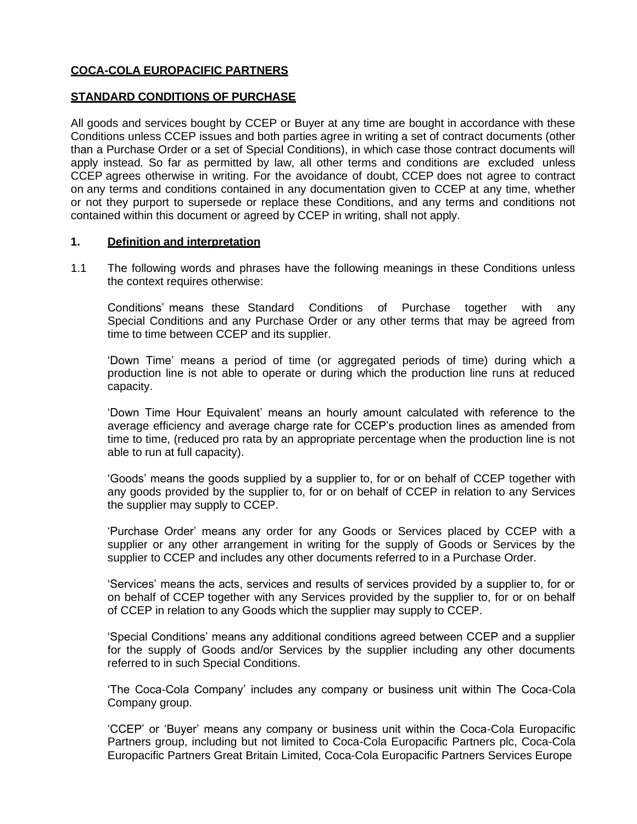# **COCA-COLA EUROPACIFIC PARTNERS**

## **STANDARD CONDITIONS OF PURCHASE**

All goods and services bought by CCEP or Buyer at any time are bought in accordance with these Conditions unless CCEP issues and both parties agree in writing a set of contract documents (other than a Purchase Order or a set of Special Conditions), in which case those contract documents will apply instead. So far as permitted by law, all other terms and conditions are excluded unless CCEP agrees otherwise in writing. For the avoidance of doubt, CCEP does not agree to contract on any terms and conditions contained in any documentation given to CCEP at any time, whether or not they purport to supersede or replace these Conditions, and any terms and conditions not contained within this document or agreed by CCEP in writing, shall not apply.

#### **1. Definition and interpretation**

1.1 The following words and phrases have the following meanings in these Conditions unless the context requires otherwise:

Conditions' means these Standard Conditions of Purchase together with any Special Conditions and any Purchase Order or any other terms that may be agreed from time to time between CCEP and its supplier.

'Down Time' means a period of time (or aggregated periods of time) during which a production line is not able to operate or during which the production line runs at reduced capacity.

'Down Time Hour Equivalent' means an hourly amount calculated with reference to the average efficiency and average charge rate for CCEP's production lines as amended from time to time, (reduced pro rata by an appropriate percentage when the production line is not able to run at full capacity).

'Goods' means the goods supplied by a supplier to, for or on behalf of CCEP together with any goods provided by the supplier to, for or on behalf of CCEP in relation to any Services the supplier may supply to CCEP.

'Purchase Order' means any order for any Goods or Services placed by CCEP with a supplier or any other arrangement in writing for the supply of Goods or Services by the supplier to CCEP and includes any other documents referred to in a Purchase Order.

'Services' means the acts, services and results of services provided by a supplier to, for or on behalf of CCEP together with any Services provided by the supplier to, for or on behalf of CCEP in relation to any Goods which the supplier may supply to CCEP.

'Special Conditions' means any additional conditions agreed between CCEP and a supplier for the supply of Goods and/or Services by the supplier including any other documents referred to in such Special Conditions.

'The Coca-Cola Company' includes any company or business unit within The Coca-Cola Company group.

'CCEP' or 'Buyer' means any company or business unit within the Coca-Cola Europacific Partners group, including but not limited to Coca-Cola Europacific Partners plc, Coca-Cola Europacific Partners Great Britain Limited, Coca-Cola Europacific Partners Services Europe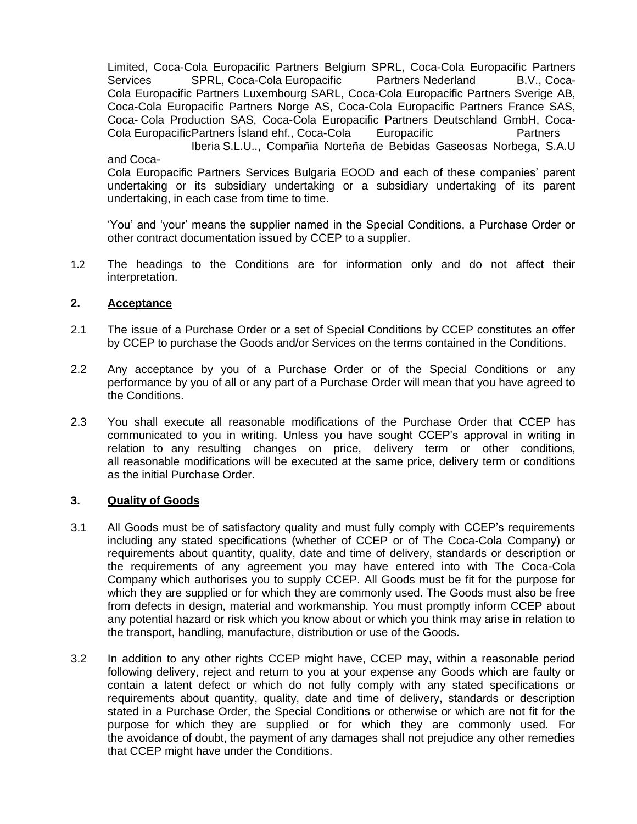Limited, Coca-Cola Europacific Partners Belgium SPRL, Coca-Cola Europacific Partners Services SPRL, Coca-Cola Europacific Partners Nederland B.V., Coca-Cola Europacific Partners Luxembourg SARL, Coca-Cola Europacific Partners Sverige AB, Coca-Cola Europacific Partners Norge AS, Coca-Cola Europacific Partners France SAS, Coca- Cola Production SAS, Coca-Cola Europacific Partners Deutschland GmbH, Coca-<br>Cola Europacific Partners Ísland ehf., Coca-Cola Europacific Partners Cola EuropacificPartners Ísland ehf., Coca-Cola Europacific Partners

Iberia S.L.U.., Compañia Norteña de Bebidas Gaseosas Norbega, S.A.U and Coca-

Cola Europacific Partners Services Bulgaria EOOD and each of these companies' parent undertaking or its subsidiary undertaking or a subsidiary undertaking of its parent undertaking, in each case from time to time.

'You' and 'your' means the supplier named in the Special Conditions, a Purchase Order or other contract documentation issued by CCEP to a supplier.

1.2 The headings to the Conditions are for information only and do not affect their interpretation.

## **2. Acceptance**

- 2.1 The issue of a Purchase Order or a set of Special Conditions by CCEP constitutes an offer by CCEP to purchase the Goods and/or Services on the terms contained in the Conditions.
- 2.2 Any acceptance by you of a Purchase Order or of the Special Conditions or any performance by you of all or any part of a Purchase Order will mean that you have agreed to the Conditions.
- 2.3 You shall execute all reasonable modifications of the Purchase Order that CCEP has communicated to you in writing. Unless you have sought CCEP's approval in writing in relation to any resulting changes on price, delivery term or other conditions, all reasonable modifications will be executed at the same price, delivery term or conditions as the initial Purchase Order.

## **3. Quality of Goods**

- 3.1 All Goods must be of satisfactory quality and must fully comply with CCEP's requirements including any stated specifications (whether of CCEP or of The Coca-Cola Company) or requirements about quantity, quality, date and time of delivery, standards or description or the requirements of any agreement you may have entered into with The Coca-Cola Company which authorises you to supply CCEP. All Goods must be fit for the purpose for which they are supplied or for which they are commonly used. The Goods must also be free from defects in design, material and workmanship. You must promptly inform CCEP about any potential hazard or risk which you know about or which you think may arise in relation to the transport, handling, manufacture, distribution or use of the Goods.
- 3.2 In addition to any other rights CCEP might have, CCEP may, within a reasonable period following delivery, reject and return to you at your expense any Goods which are faulty or contain a latent defect or which do not fully comply with any stated specifications or requirements about quantity, quality, date and time of delivery, standards or description stated in a Purchase Order, the Special Conditions or otherwise or which are not fit for the purpose for which they are supplied or for which they are commonly used. For the avoidance of doubt, the payment of any damages shall not prejudice any other remedies that CCEP might have under the Conditions.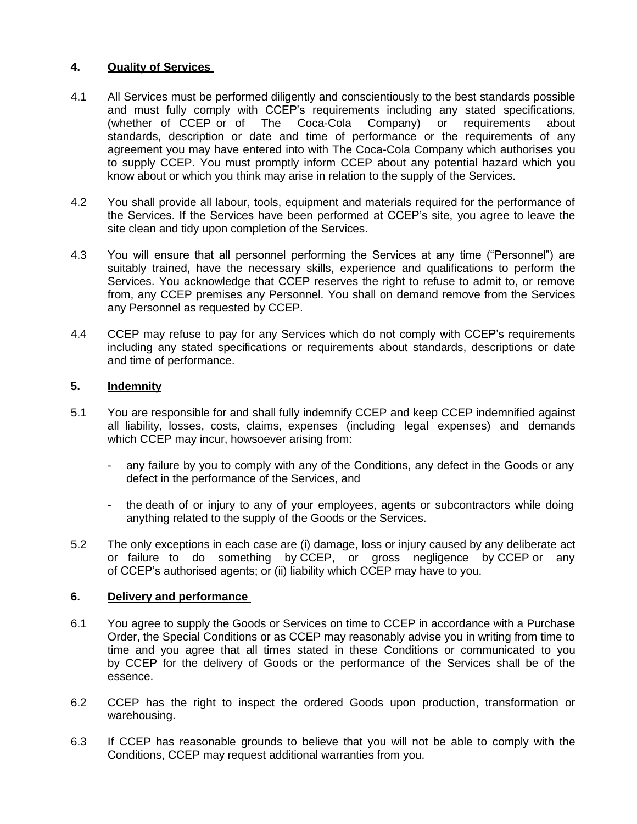## **4. Quality of Services**

- 4.1 All Services must be performed diligently and conscientiously to the best standards possible and must fully comply with CCEP's requirements including any stated specifications, (whether of CCEP or of The Coca-Cola Company) or requirements about standards, description or date and time of performance or the requirements of any agreement you may have entered into with The Coca-Cola Company which authorises you to supply CCEP. You must promptly inform CCEP about any potential hazard which you know about or which you think may arise in relation to the supply of the Services.
- 4.2 You shall provide all labour, tools, equipment and materials required for the performance of the Services. If the Services have been performed at CCEP's site, you agree to leave the site clean and tidy upon completion of the Services.
- 4.3 You will ensure that all personnel performing the Services at any time ("Personnel") are suitably trained, have the necessary skills, experience and qualifications to perform the Services. You acknowledge that CCEP reserves the right to refuse to admit to, or remove from, any CCEP premises any Personnel. You shall on demand remove from the Services any Personnel as requested by CCEP.
- 4.4 CCEP may refuse to pay for any Services which do not comply with CCEP's requirements including any stated specifications or requirements about standards, descriptions or date and time of performance.

# **5. Indemnity**

- 5.1 You are responsible for and shall fully indemnify CCEP and keep CCEP indemnified against all liability, losses, costs, claims, expenses (including legal expenses) and demands which CCEP may incur, howsoever arising from:
	- any failure by you to comply with any of the Conditions, any defect in the Goods or any defect in the performance of the Services, and
	- the death of or injury to any of your employees, agents or subcontractors while doing anything related to the supply of the Goods or the Services.
- 5.2 The only exceptions in each case are (i) damage, loss or injury caused by any deliberate act or failure to do something by CCEP, or gross negligence by CCEP or any of CCEP's authorised agents; or (ii) liability which CCEP may have to you.

## **6. Delivery and performance**

- 6.1 You agree to supply the Goods or Services on time to CCEP in accordance with a Purchase Order, the Special Conditions or as CCEP may reasonably advise you in writing from time to time and you agree that all times stated in these Conditions or communicated to you by CCEP for the delivery of Goods or the performance of the Services shall be of the essence.
- 6.2 CCEP has the right to inspect the ordered Goods upon production, transformation or warehousing.
- 6.3 If CCEP has reasonable grounds to believe that you will not be able to comply with the Conditions, CCEP may request additional warranties from you.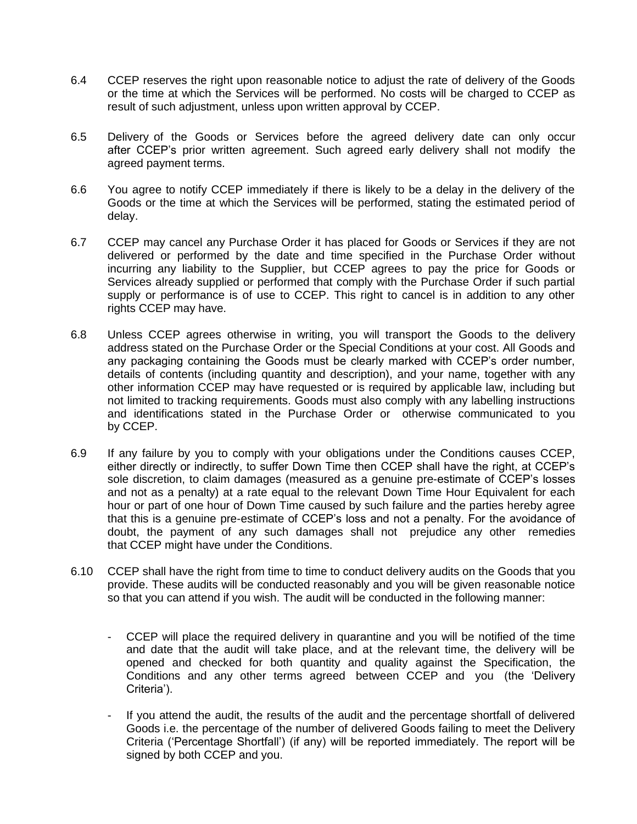- 6.4 CCEP reserves the right upon reasonable notice to adjust the rate of delivery of the Goods or the time at which the Services will be performed. No costs will be charged to CCEP as result of such adjustment, unless upon written approval by CCEP.
- 6.5 Delivery of the Goods or Services before the agreed delivery date can only occur after CCEP's prior written agreement. Such agreed early delivery shall not modify the agreed payment terms.
- 6.6 You agree to notify CCEP immediately if there is likely to be a delay in the delivery of the Goods or the time at which the Services will be performed, stating the estimated period of delay.
- 6.7 CCEP may cancel any Purchase Order it has placed for Goods or Services if they are not delivered or performed by the date and time specified in the Purchase Order without incurring any liability to the Supplier, but CCEP agrees to pay the price for Goods or Services already supplied or performed that comply with the Purchase Order if such partial supply or performance is of use to CCEP. This right to cancel is in addition to any other rights CCEP may have.
- 6.8 Unless CCEP agrees otherwise in writing, you will transport the Goods to the delivery address stated on the Purchase Order or the Special Conditions at your cost. All Goods and any packaging containing the Goods must be clearly marked with CCEP's order number, details of contents (including quantity and description), and your name, together with any other information CCEP may have requested or is required by applicable law, including but not limited to tracking requirements. Goods must also comply with any labelling instructions and identifications stated in the Purchase Order or otherwise communicated to you by CCEP.
- 6.9 If any failure by you to comply with your obligations under the Conditions causes CCEP, either directly or indirectly, to suffer Down Time then CCEP shall have the right, at CCEP's sole discretion, to claim damages (measured as a genuine pre-estimate of CCEP's losses and not as a penalty) at a rate equal to the relevant Down Time Hour Equivalent for each hour or part of one hour of Down Time caused by such failure and the parties hereby agree that this is a genuine pre-estimate of CCEP's loss and not a penalty. For the avoidance of doubt, the payment of any such damages shall not prejudice any other remedies that CCEP might have under the Conditions.
- 6.10 CCEP shall have the right from time to time to conduct delivery audits on the Goods that you provide. These audits will be conducted reasonably and you will be given reasonable notice so that you can attend if you wish. The audit will be conducted in the following manner:
	- CCEP will place the required delivery in quarantine and you will be notified of the time and date that the audit will take place, and at the relevant time, the delivery will be opened and checked for both quantity and quality against the Specification, the Conditions and any other terms agreed between CCEP and you (the 'Delivery Criteria').
	- If you attend the audit, the results of the audit and the percentage shortfall of delivered Goods i.e. the percentage of the number of delivered Goods failing to meet the Delivery Criteria ('Percentage Shortfall') (if any) will be reported immediately. The report will be signed by both CCEP and you.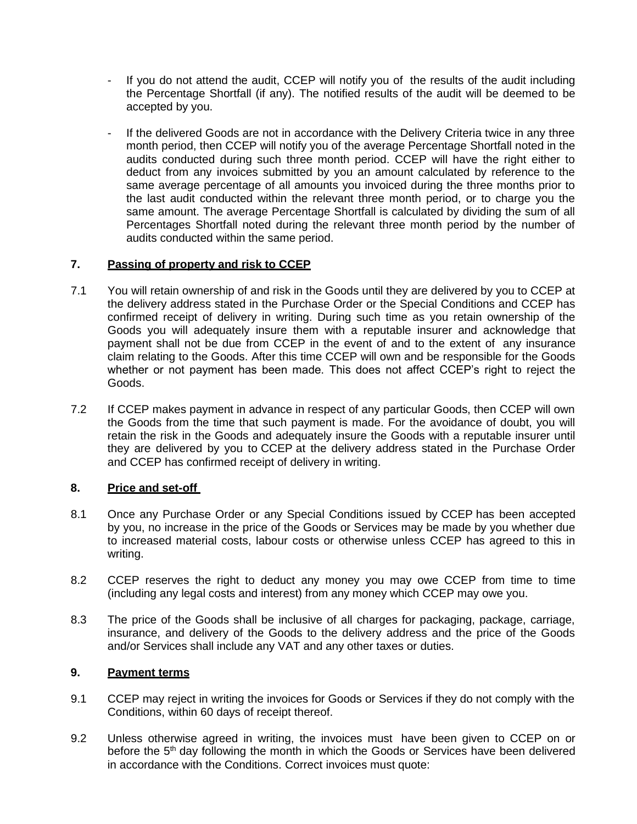- If you do not attend the audit, CCEP will notify you of the results of the audit including the Percentage Shortfall (if any). The notified results of the audit will be deemed to be accepted by you.
- If the delivered Goods are not in accordance with the Delivery Criteria twice in any three month period, then CCEP will notify you of the average Percentage Shortfall noted in the audits conducted during such three month period. CCEP will have the right either to deduct from any invoices submitted by you an amount calculated by reference to the same average percentage of all amounts you invoiced during the three months prior to the last audit conducted within the relevant three month period, or to charge you the same amount. The average Percentage Shortfall is calculated by dividing the sum of all Percentages Shortfall noted during the relevant three month period by the number of audits conducted within the same period.

## **7. Passing of property and risk to CCEP**

- 7.1 You will retain ownership of and risk in the Goods until they are delivered by you to CCEP at the delivery address stated in the Purchase Order or the Special Conditions and CCEP has confirmed receipt of delivery in writing. During such time as you retain ownership of the Goods you will adequately insure them with a reputable insurer and acknowledge that payment shall not be due from CCEP in the event of and to the extent of any insurance claim relating to the Goods. After this time CCEP will own and be responsible for the Goods whether or not payment has been made. This does not affect CCEP's right to reject the Goods.
- 7.2 If CCEP makes payment in advance in respect of any particular Goods, then CCEP will own the Goods from the time that such payment is made. For the avoidance of doubt, you will retain the risk in the Goods and adequately insure the Goods with a reputable insurer until they are delivered by you to CCEP at the delivery address stated in the Purchase Order and CCEP has confirmed receipt of delivery in writing.

## **8. Price and set-off**

- 8.1 Once any Purchase Order or any Special Conditions issued by CCEP has been accepted by you, no increase in the price of the Goods or Services may be made by you whether due to increased material costs, labour costs or otherwise unless CCEP has agreed to this in writing.
- 8.2 CCEP reserves the right to deduct any money you may owe CCEP from time to time (including any legal costs and interest) from any money which CCEP may owe you.
- 8.3 The price of the Goods shall be inclusive of all charges for packaging, package, carriage, insurance, and delivery of the Goods to the delivery address and the price of the Goods and/or Services shall include any VAT and any other taxes or duties.

## **9. Payment terms**

- 9.1 CCEP may reject in writing the invoices for Goods or Services if they do not comply with the Conditions, within 60 days of receipt thereof.
- 9.2 Unless otherwise agreed in writing, the invoices must have been given to CCEP on or before the 5<sup>th</sup> day following the month in which the Goods or Services have been delivered in accordance with the Conditions. Correct invoices must quote: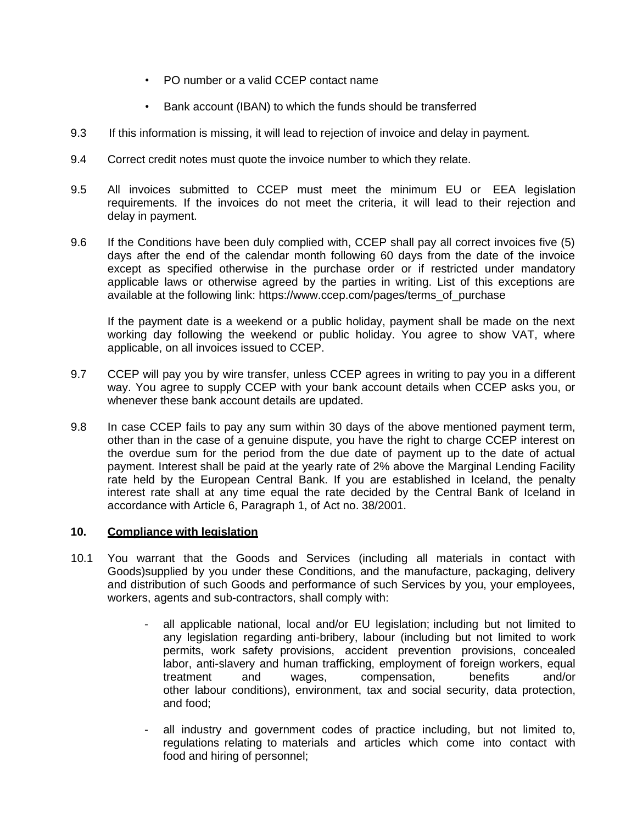- PO number or a valid CCEP contact name
- Bank account (IBAN) to which the funds should be transferred
- 9.3 If this information is missing, it will lead to rejection of invoice and delay in payment.
- 9.4 Correct credit notes must quote the invoice number to which they relate.
- 9.5 All invoices submitted to CCEP must meet the minimum EU or EEA legislation requirements. If the invoices do not meet the criteria, it will lead to their rejection and delay in payment.
- 9.6 If the Conditions have been duly complied with, CCEP shall pay all correct invoices five (5) days after the end of the calendar month following 60 days from the date of the invoice except as specified otherwise in the purchase order or if restricted under mandatory applicable laws or otherwise agreed by the parties in writing. List of this exceptions are available at the following link: https:/[/www.ccep.com/pages/terms\\_of\\_purchase](http://www.ccep.com/pages/terms_of_purchase)

If the payment date is a weekend or a public holiday, payment shall be made on the next working day following the weekend or public holiday. You agree to show VAT, where applicable, on all invoices issued to CCEP.

- 9.7 CCEP will pay you by wire transfer, unless CCEP agrees in writing to pay you in a different way. You agree to supply CCEP with your bank account details when CCEP asks you, or whenever these bank account details are updated.
- 9.8 In case CCEP fails to pay any sum within 30 days of the above mentioned payment term, other than in the case of a genuine dispute, you have the right to charge CCEP interest on the overdue sum for the period from the due date of payment up to the date of actual payment. Interest shall be paid at the yearly rate of 2% above the Marginal Lending Facility rate held by the European Central Bank. If you are established in Iceland, the penalty interest rate shall at any time equal the rate decided by the Central Bank of Iceland in accordance with Article 6, Paragraph 1, of Act no. 38/2001.

# **10. Compliance with legislation**

- 10.1 You warrant that the Goods and Services (including all materials in contact with Goods)supplied by you under these Conditions, and the manufacture, packaging, delivery and distribution of such Goods and performance of such Services by you, your employees, workers, agents and sub-contractors, shall comply with:
	- all applicable national, local and/or EU legislation; including but not limited to any legislation regarding anti-bribery, labour (including but not limited to work permits, work safety provisions, accident prevention provisions, concealed labor, anti-slavery and human trafficking, employment of foreign workers, equal treatment and wages, compensation, benefits and/or other labour conditions), environment, tax and social security, data protection, and food;
	- all industry and government codes of practice including, but not limited to, regulations relating to materials and articles which come into contact with food and hiring of personnel;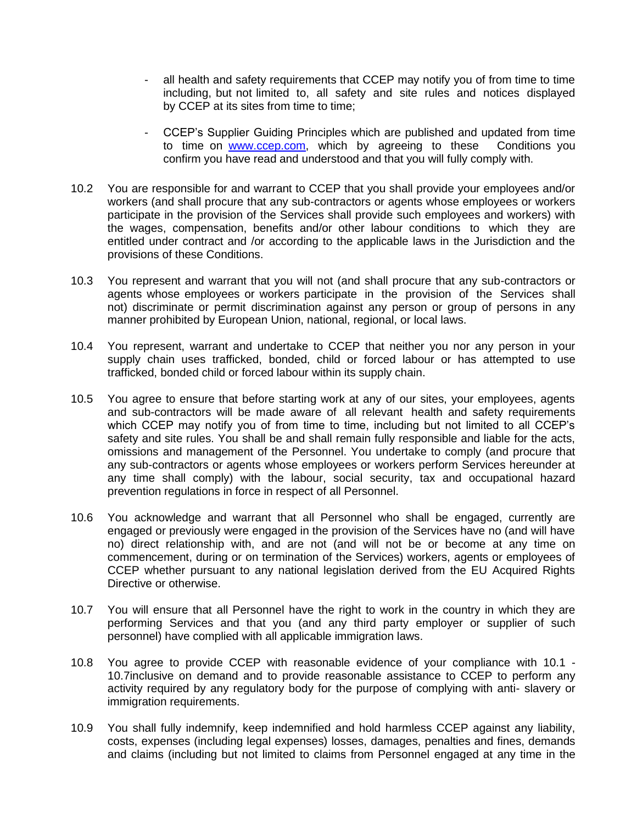- all health and safety requirements that CCEP may notify you of from time to time including, but not limited to, all safety and site rules and notices displayed by CCEP at its sites from time to time;
- CCEP's Supplier Guiding Principles which are published and updated from time to time on [www.ccep.com,](http://www.cokecce.com/) which by agreeing to these Conditions you confirm you have read and understood and that you will fully comply with.
- 10.2 You are responsible for and warrant to CCEP that you shall provide your employees and/or workers (and shall procure that any sub-contractors or agents whose employees or workers participate in the provision of the Services shall provide such employees and workers) with the wages, compensation, benefits and/or other labour conditions to which they are entitled under contract and /or according to the applicable laws in the Jurisdiction and the provisions of these Conditions.
- 10.3 You represent and warrant that you will not (and shall procure that any sub-contractors or agents whose employees or workers participate in the provision of the Services shall not) discriminate or permit discrimination against any person or group of persons in any manner prohibited by European Union, national, regional, or local laws.
- 10.4 You represent, warrant and undertake to CCEP that neither you nor any person in your supply chain uses trafficked, bonded, child or forced labour or has attempted to use trafficked, bonded child or forced labour within its supply chain.
- 10.5 You agree to ensure that before starting work at any of our sites, your employees, agents and sub-contractors will be made aware of all relevant health and safety requirements which CCEP may notify you of from time to time, including but not limited to all CCEP's safety and site rules. You shall be and shall remain fully responsible and liable for the acts, omissions and management of the Personnel. You undertake to comply (and procure that any sub-contractors or agents whose employees or workers perform Services hereunder at any time shall comply) with the labour, social security, tax and occupational hazard prevention regulations in force in respect of all Personnel.
- 10.6 You acknowledge and warrant that all Personnel who shall be engaged, currently are engaged or previously were engaged in the provision of the Services have no (and will have no) direct relationship with, and are not (and will not be or become at any time on commencement, during or on termination of the Services) workers, agents or employees of CCEP whether pursuant to any national legislation derived from the EU Acquired Rights Directive or otherwise.
- 10.7 You will ensure that all Personnel have the right to work in the country in which they are performing Services and that you (and any third party employer or supplier of such personnel) have complied with all applicable immigration laws.
- 10.8 You agree to provide CCEP with reasonable evidence of your compliance with 10.1 10.7inclusive on demand and to provide reasonable assistance to CCEP to perform any activity required by any regulatory body for the purpose of complying with anti- slavery or immigration requirements.
- 10.9 You shall fully indemnify, keep indemnified and hold harmless CCEP against any liability, costs, expenses (including legal expenses) losses, damages, penalties and fines, demands and claims (including but not limited to claims from Personnel engaged at any time in the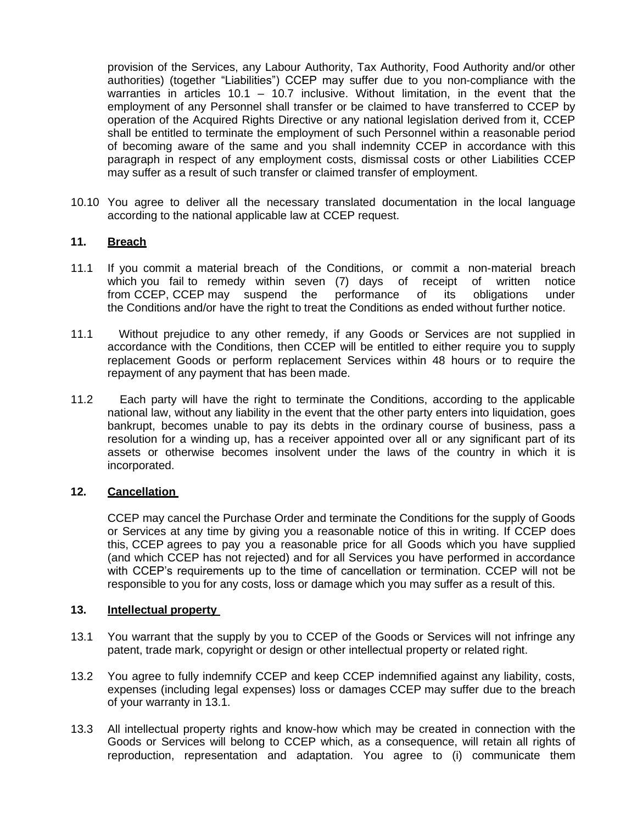provision of the Services, any Labour Authority, Tax Authority, Food Authority and/or other authorities) (together "Liabilities") CCEP may suffer due to you non-compliance with the warranties in articles 10.1 – 10.7 inclusive. Without limitation, in the event that the employment of any Personnel shall transfer or be claimed to have transferred to CCEP by operation of the Acquired Rights Directive or any national legislation derived from it, CCEP shall be entitled to terminate the employment of such Personnel within a reasonable period of becoming aware of the same and you shall indemnity CCEP in accordance with this paragraph in respect of any employment costs, dismissal costs or other Liabilities CCEP may suffer as a result of such transfer or claimed transfer of employment.

10.10 You agree to deliver all the necessary translated documentation in the local language according to the national applicable law at CCEP request.

## **11. Breach**

- 11.1 If you commit a material breach of the Conditions, or commit a non-material breach which you fail to remedy within seven (7) days of receipt of written notice from CCEP, CCEP may suspend the performance of its obligations under the Conditions and/or have the right to treat the Conditions as ended without further notice.
- 11.1 Without prejudice to any other remedy, if any Goods or Services are not supplied in accordance with the Conditions, then CCEP will be entitled to either require you to supply replacement Goods or perform replacement Services within 48 hours or to require the repayment of any payment that has been made.
- 11.2 Each party will have the right to terminate the Conditions, according to the applicable national law, without any liability in the event that the other party enters into liquidation, goes bankrupt, becomes unable to pay its debts in the ordinary course of business, pass a resolution for a winding up, has a receiver appointed over all or any significant part of its assets or otherwise becomes insolvent under the laws of the country in which it is incorporated.

#### **12. Cancellation**

CCEP may cancel the Purchase Order and terminate the Conditions for the supply of Goods or Services at any time by giving you a reasonable notice of this in writing. If CCEP does this, CCEP agrees to pay you a reasonable price for all Goods which you have supplied (and which CCEP has not rejected) and for all Services you have performed in accordance with CCEP's requirements up to the time of cancellation or termination. CCEP will not be responsible to you for any costs, loss or damage which you may suffer as a result of this.

#### **13. Intellectual property**

- 13.1 You warrant that the supply by you to CCEP of the Goods or Services will not infringe any patent, trade mark, copyright or design or other intellectual property or related right.
- 13.2 You agree to fully indemnify CCEP and keep CCEP indemnified against any liability, costs, expenses (including legal expenses) loss or damages CCEP may suffer due to the breach of your warranty in 13.1.
- 13.3 All intellectual property rights and know-how which may be created in connection with the Goods or Services will belong to CCEP which, as a consequence, will retain all rights of reproduction, representation and adaptation. You agree to (i) communicate them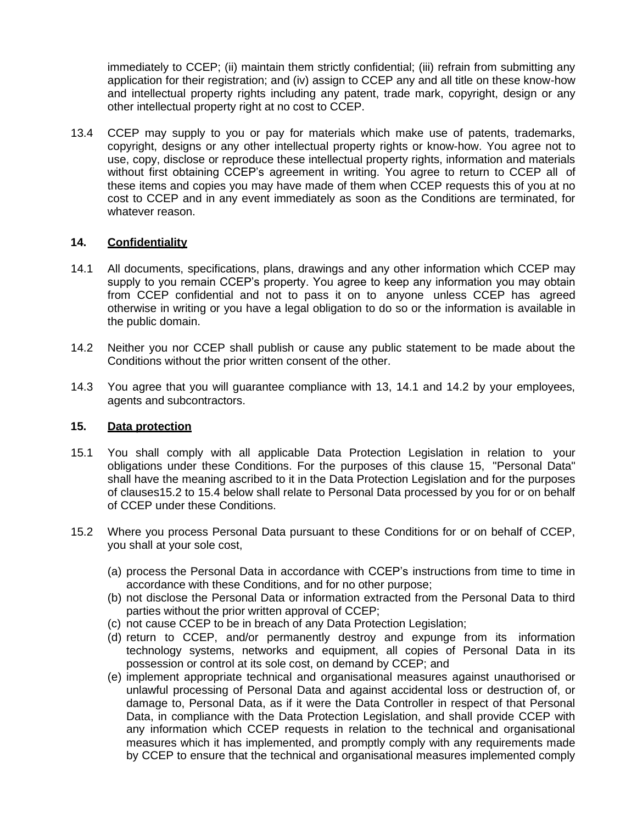immediately to CCEP; (ii) maintain them strictly confidential; (iii) refrain from submitting any application for their registration; and (iv) assign to CCEP any and all title on these know-how and intellectual property rights including any patent, trade mark, copyright, design or any other intellectual property right at no cost to CCEP.

13.4 CCEP may supply to you or pay for materials which make use of patents, trademarks, copyright, designs or any other intellectual property rights or know-how. You agree not to use, copy, disclose or reproduce these intellectual property rights, information and materials without first obtaining CCEP's agreement in writing. You agree to return to CCEP all of these items and copies you may have made of them when CCEP requests this of you at no cost to CCEP and in any event immediately as soon as the Conditions are terminated, for whatever reason.

## **14. Confidentiality**

- 14.1 All documents, specifications, plans, drawings and any other information which CCEP may supply to you remain CCEP's property. You agree to keep any information you may obtain from CCEP confidential and not to pass it on to anyone unless CCEP has agreed otherwise in writing or you have a legal obligation to do so or the information is available in the public domain.
- 14.2 Neither you nor CCEP shall publish or cause any public statement to be made about the Conditions without the prior written consent of the other.
- 14.3 You agree that you will guarantee compliance with 13, 14.1 and 14.2 by your employees, agents and subcontractors.

### **15. Data protection**

- 15.1 You shall comply with all applicable Data Protection Legislation in relation to your obligations under these Conditions. For the purposes of this clause 15, "Personal Data" shall have the meaning ascribed to it in the Data Protection Legislation and for the purposes of clauses15.2 to 15.4 below shall relate to Personal Data processed by you for or on behalf of CCEP under these Conditions.
- 15.2 Where you process Personal Data pursuant to these Conditions for or on behalf of CCEP, you shall at your sole cost,
	- (a) process the Personal Data in accordance with CCEP's instructions from time to time in accordance with these Conditions, and for no other purpose;
	- (b) not disclose the Personal Data or information extracted from the Personal Data to third parties without the prior written approval of CCEP;
	- (c) not cause CCEP to be in breach of any Data Protection Legislation;
	- (d) return to CCEP, and/or permanently destroy and expunge from its information technology systems, networks and equipment, all copies of Personal Data in its possession or control at its sole cost, on demand by CCEP; and
	- (e) implement appropriate technical and organisational measures against unauthorised or unlawful processing of Personal Data and against accidental loss or destruction of, or damage to, Personal Data, as if it were the Data Controller in respect of that Personal Data, in compliance with the Data Protection Legislation, and shall provide CCEP with any information which CCEP requests in relation to the technical and organisational measures which it has implemented, and promptly comply with any requirements made by CCEP to ensure that the technical and organisational measures implemented comply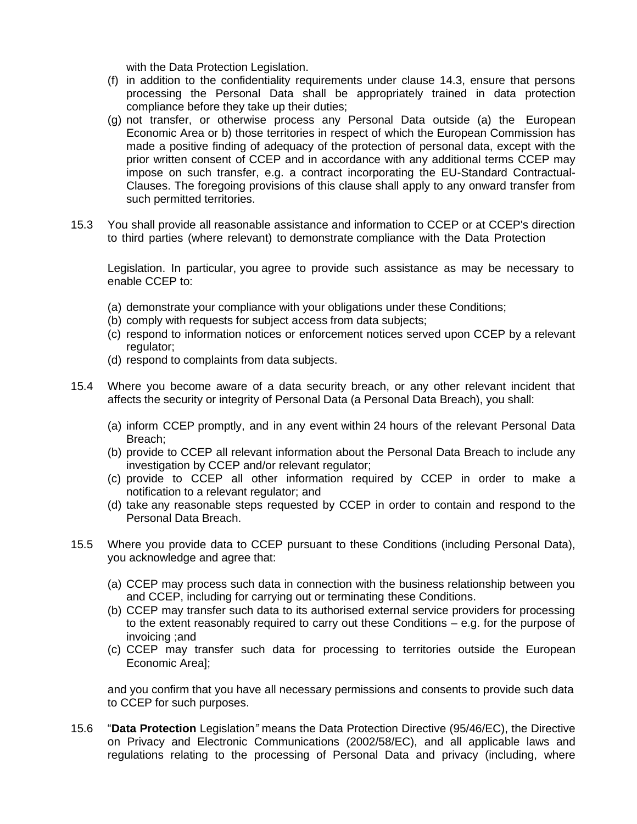with the Data Protection Legislation.

- (f) in addition to the confidentiality requirements under clause 14.3, ensure that persons processing the Personal Data shall be appropriately trained in data protection compliance before they take up their duties;
- (g) not transfer, or otherwise process any Personal Data outside (a) the European Economic Area or b) those territories in respect of which the European Commission has made a positive finding of adequacy of the protection of personal data, except with the prior written consent of CCEP and in accordance with any additional terms CCEP may impose on such transfer, e.g. a contract incorporating the EU-Standard Contractual-Clauses. The foregoing provisions of this clause shall apply to any onward transfer from such permitted territories.
- 15.3 You shall provide all reasonable assistance and information to CCEP or at CCEP's direction to third parties (where relevant) to demonstrate compliance with the Data Protection

Legislation. In particular, you agree to provide such assistance as may be necessary to enable CCEP to:

- (a) demonstrate your compliance with your obligations under these Conditions;
- (b) comply with requests for subject access from data subjects;
- (c) respond to information notices or enforcement notices served upon CCEP by a relevant regulator;
- (d) respond to complaints from data subjects.
- 15.4 Where you become aware of a data security breach, or any other relevant incident that affects the security or integrity of Personal Data (a Personal Data Breach), you shall:
	- (a) inform CCEP promptly, and in any event within 24 hours of the relevant Personal Data Breach;
	- (b) provide to CCEP all relevant information about the Personal Data Breach to include any investigation by CCEP and/or relevant regulator;
	- (c) provide to CCEP all other information required by CCEP in order to make a notification to a relevant regulator; and
	- (d) take any reasonable steps requested by CCEP in order to contain and respond to the Personal Data Breach.
- 15.5 Where you provide data to CCEP pursuant to these Conditions (including Personal Data), you acknowledge and agree that:
	- (a) CCEP may process such data in connection with the business relationship between you and CCEP, including for carrying out or terminating these Conditions.
	- (b) CCEP may transfer such data to its authorised external service providers for processing to the extent reasonably required to carry out these Conditions – e.g. for the purpose of invoicing ;and
	- (c) CCEP may transfer such data for processing to territories outside the European Economic Area];

and you confirm that you have all necessary permissions and consents to provide such data to CCEP for such purposes.

15.6 "**Data Protection** Legislation*"* means the Data Protection Directive (95/46/EC), the Directive on Privacy and Electronic Communications (2002/58/EC), and all applicable laws and regulations relating to the processing of Personal Data and privacy (including, where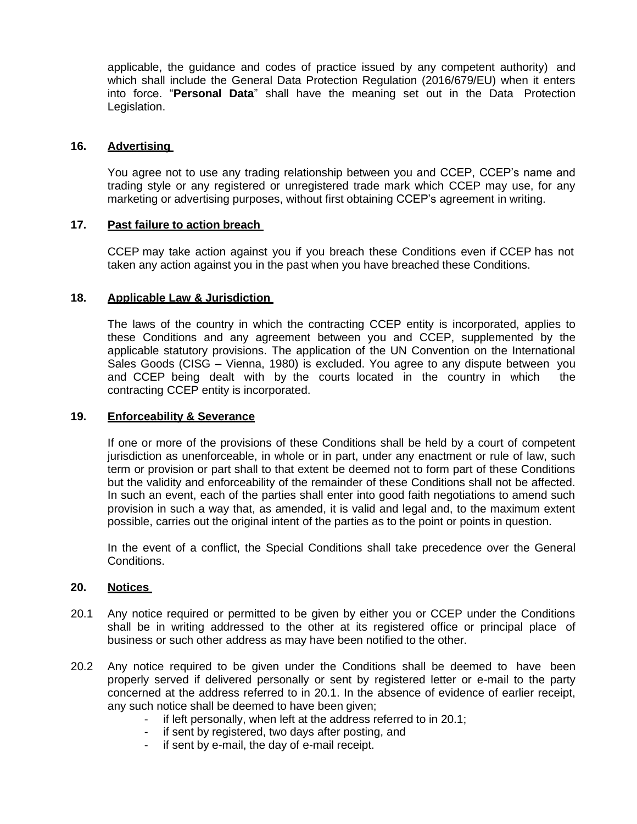applicable, the guidance and codes of practice issued by any competent authority) and which shall include the General Data Protection Regulation (2016/679/EU) when it enters into force. "**Personal Data**" shall have the meaning set out in the Data Protection Legislation.

## **16. Advertising**

You agree not to use any trading relationship between you and CCEP, CCEP's name and trading style or any registered or unregistered trade mark which CCEP may use, for any marketing or advertising purposes, without first obtaining CCEP's agreement in writing.

## **17. Past failure to action breach**

CCEP may take action against you if you breach these Conditions even if CCEP has not taken any action against you in the past when you have breached these Conditions.

## **18. Applicable Law & Jurisdiction**

The laws of the country in which the contracting CCEP entity is incorporated, applies to these Conditions and any agreement between you and CCEP, supplemented by the applicable statutory provisions. The application of the UN Convention on the International Sales Goods (CISG – Vienna, 1980) is excluded. You agree to any dispute between you and CCEP being dealt with by the courts located in the country in which the contracting CCEP entity is incorporated.

### **19. Enforceability & Severance**

If one or more of the provisions of these Conditions shall be held by a court of competent jurisdiction as unenforceable, in whole or in part, under any enactment or rule of law, such term or provision or part shall to that extent be deemed not to form part of these Conditions but the validity and enforceability of the remainder of these Conditions shall not be affected. In such an event, each of the parties shall enter into good faith negotiations to amend such provision in such a way that, as amended, it is valid and legal and, to the maximum extent possible, carries out the original intent of the parties as to the point or points in question.

In the event of a conflict, the Special Conditions shall take precedence over the General Conditions.

#### **20. Notices**

- 20.1 Any notice required or permitted to be given by either you or CCEP under the Conditions shall be in writing addressed to the other at its registered office or principal place of business or such other address as may have been notified to the other.
- 20.2 Any notice required to be given under the Conditions shall be deemed to have been properly served if delivered personally or sent by registered letter or e-mail to the party concerned at the address referred to in 20.1. In the absence of evidence of earlier receipt, any such notice shall be deemed to have been given;
	- if left personally, when left at the address referred to in 20.1;
	- if sent by registered, two days after posting, and
	- if sent by e-mail, the day of e-mail receipt.